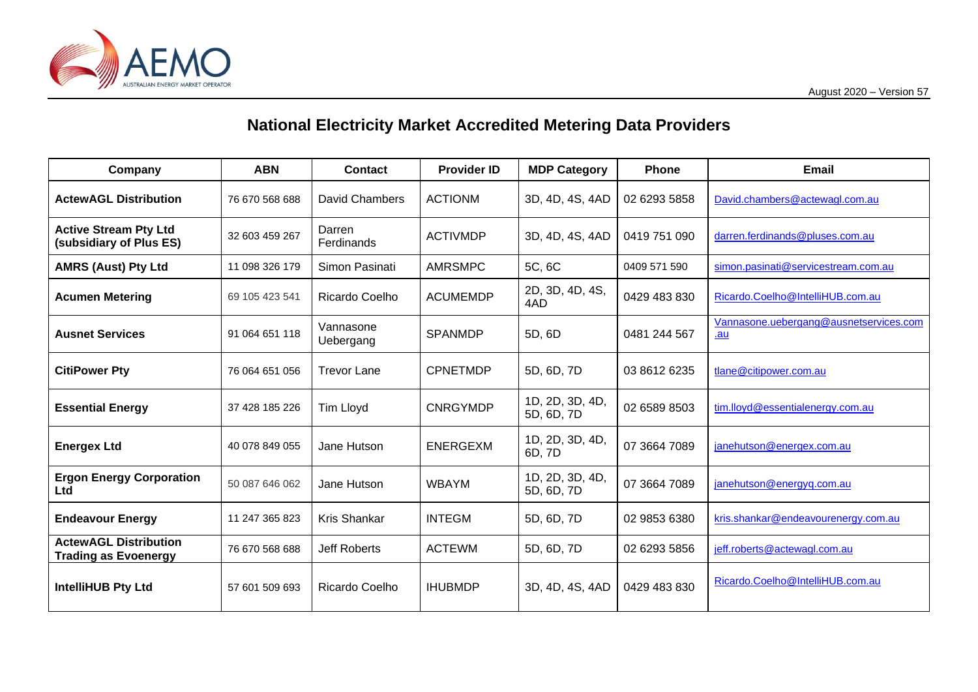

## **National Electricity Market Accredited Metering Data Providers**

| Company                                                     | <b>ABN</b>     | <b>Contact</b>         | <b>Provider ID</b> | <b>MDP Category</b>           | <b>Phone</b> | <b>Email</b>                                  |
|-------------------------------------------------------------|----------------|------------------------|--------------------|-------------------------------|--------------|-----------------------------------------------|
| <b>ActewAGL Distribution</b>                                | 76 670 568 688 | David Chambers         | <b>ACTIONM</b>     | 3D, 4D, 4S, 4AD               | 02 6293 5858 | David.chambers@actewagl.com.au                |
| <b>Active Stream Pty Ltd</b><br>(subsidiary of Plus ES)     | 32 603 459 267 | Darren<br>Ferdinands   | <b>ACTIVMDP</b>    | 3D, 4D, 4S, 4AD               | 0419 751 090 | darren.ferdinands@pluses.com.au               |
| <b>AMRS (Aust) Pty Ltd</b>                                  | 11 098 326 179 | Simon Pasinati         | <b>AMRSMPC</b>     | 5C, 6C                        | 0409 571 590 | simon.pasinati@servicestream.com.au           |
| <b>Acumen Metering</b>                                      | 69 105 423 541 | Ricardo Coelho         | <b>ACUMEMDP</b>    | 2D, 3D, 4D, 4S,<br>4AD        | 0429 483 830 | Ricardo.Coelho@IntelliHUB.com.au              |
| <b>Ausnet Services</b>                                      | 91 064 651 118 | Vannasone<br>Uebergang | <b>SPANMDP</b>     | 5D, 6D                        | 0481 244 567 | Vannasone.uebergang@ausnetservices.com<br>.au |
| <b>CitiPower Pty</b>                                        | 76 064 651 056 | <b>Trevor Lane</b>     | <b>CPNETMDP</b>    | 5D, 6D, 7D                    | 03 8612 6235 | tlane@citipower.com.au                        |
| <b>Essential Energy</b>                                     | 37 428 185 226 | Tim Lloyd              | <b>CNRGYMDP</b>    | 1D, 2D, 3D, 4D,<br>5D, 6D, 7D | 02 6589 8503 | tim.lloyd@essentialenergy.com.au              |
| <b>Energex Ltd</b>                                          | 40 078 849 055 | Jane Hutson            | <b>ENERGEXM</b>    | 1D, 2D, 3D, 4D,<br>6D, 7D     | 07 3664 7089 | janehutson@energex.com.au                     |
| <b>Ergon Energy Corporation</b><br>Ltd                      | 50 087 646 062 | Jane Hutson            | <b>WBAYM</b>       | 1D, 2D, 3D, 4D,<br>5D, 6D, 7D | 07 3664 7089 | janehutson@energyq.com.au                     |
| <b>Endeavour Energy</b>                                     | 11 247 365 823 | <b>Kris Shankar</b>    | <b>INTEGM</b>      | 5D, 6D, 7D                    | 02 9853 6380 | kris.shankar@endeavourenergy.com.au           |
| <b>ActewAGL Distribution</b><br><b>Trading as Evoenergy</b> | 76 670 568 688 | <b>Jeff Roberts</b>    | <b>ACTEWM</b>      | 5D, 6D, 7D                    | 02 6293 5856 | jeff.roberts@actewagl.com.au                  |
| IntelliHUB Pty Ltd                                          | 57 601 509 693 | Ricardo Coelho         | <b>IHUBMDP</b>     | 3D, 4D, 4S, 4AD               | 0429 483 830 | Ricardo.Coelho@IntelliHUB.com.au              |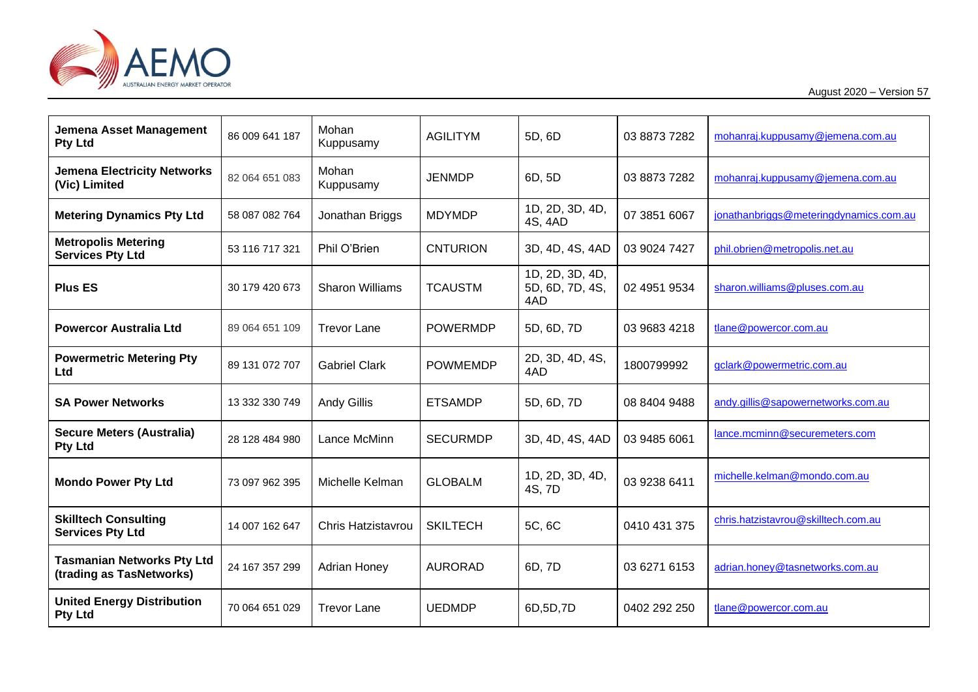

August 2020 – Version 57

| Jemena Asset Management<br><b>Pty Ltd</b>                     | 86 009 641 187 | Mohan<br>Kuppusamy     | <b>AGILITYM</b> | 5D, 6D                                    | 03 8873 7282 | mohanraj.kuppusamy@jemena.com.au       |
|---------------------------------------------------------------|----------------|------------------------|-----------------|-------------------------------------------|--------------|----------------------------------------|
| <b>Jemena Electricity Networks</b><br>(Vic) Limited           | 82 064 651 083 | Mohan<br>Kuppusamy     | <b>JENMDP</b>   | 6D, 5D                                    | 03 8873 7282 | mohanraj.kuppusamy@jemena.com.au       |
| <b>Metering Dynamics Pty Ltd</b>                              | 58 087 082 764 | Jonathan Briggs        | <b>MDYMDP</b>   | 1D, 2D, 3D, 4D,<br>4S, 4AD                | 07 3851 6067 | jonathanbriggs@meteringdynamics.com.au |
| <b>Metropolis Metering</b><br><b>Services Pty Ltd</b>         | 53 116 717 321 | Phil O'Brien           | <b>CNTURION</b> | 3D, 4D, 4S, 4AD                           | 03 9024 7427 | phil.obrien@metropolis.net.au          |
| <b>Plus ES</b>                                                | 30 179 420 673 | <b>Sharon Williams</b> | <b>TCAUSTM</b>  | 1D, 2D, 3D, 4D,<br>5D, 6D, 7D, 4S,<br>4AD | 02 4951 9534 | sharon.williams@pluses.com.au          |
| <b>Powercor Australia Ltd</b>                                 | 89 064 651 109 | <b>Trevor Lane</b>     | <b>POWERMDP</b> | 5D, 6D, 7D                                | 03 9683 4218 | tlane@powercor.com.au                  |
| <b>Powermetric Metering Pty</b><br><b>Ltd</b>                 | 89 131 072 707 | <b>Gabriel Clark</b>   | <b>POWMEMDP</b> | 2D, 3D, 4D, 4S,<br>4AD                    | 1800799992   | gclark@powermetric.com.au              |
| <b>SA Power Networks</b>                                      | 13 332 330 749 | <b>Andy Gillis</b>     | <b>ETSAMDP</b>  | 5D, 6D, 7D                                | 08 8404 9488 | andy.gillis@sapowernetworks.com.au     |
| <b>Secure Meters (Australia)</b><br><b>Pty Ltd</b>            | 28 128 484 980 | Lance McMinn           | <b>SECURMDP</b> | 3D, 4D, 4S, 4AD                           | 03 9485 6061 | lance.mcminn@securemeters.com          |
| <b>Mondo Power Pty Ltd</b>                                    | 73 097 962 395 | Michelle Kelman        | <b>GLOBALM</b>  | 1D, 2D, 3D, 4D,<br>4S, 7D                 | 03 9238 6411 | michelle.kelman@mondo.com.au           |
| <b>Skilltech Consulting</b><br><b>Services Pty Ltd</b>        | 14 007 162 647 | Chris Hatzistavrou     | <b>SKILTECH</b> | 5C, 6C                                    | 0410 431 375 | chris.hatzistavrou@skilltech.com.au    |
| <b>Tasmanian Networks Pty Ltd</b><br>(trading as TasNetworks) | 24 167 357 299 | <b>Adrian Honey</b>    | <b>AURORAD</b>  | 6D, 7D                                    | 03 6271 6153 | adrian.honey@tasnetworks.com.au        |
| <b>United Energy Distribution</b><br><b>Pty Ltd</b>           | 70 064 651 029 | <b>Trevor Lane</b>     | <b>UEDMDP</b>   | 6D,5D,7D                                  | 0402 292 250 | tlane@powercor.com.au                  |